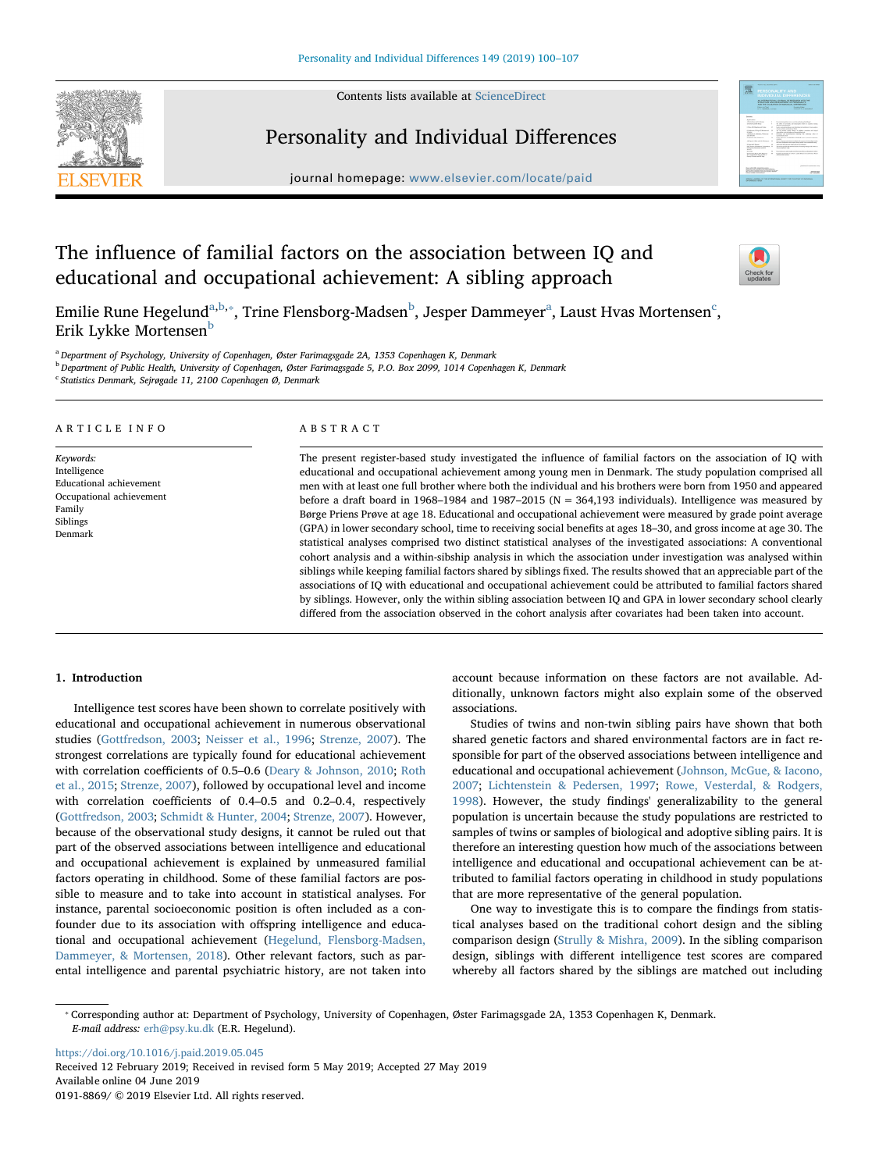Contents lists available at [ScienceDirect](http://www.sciencedirect.com/science/journal/01918869)





# Personality and Individual Differences

journal homepage: [www.elsevier.com/locate/paid](https://www.elsevier.com/locate/paid)

# The influence of familial factors on the association between IQ and educational and occupational achievement: A sibling approach



Emilie Rune Hegelund<sup>[a,](#page-0-0)[b](#page-0-1),</sup>\*, Trine Flensborg-M[a](#page-0-0)dsen<sup>b</sup>, Jesper Dammeyer<sup>a</sup>, Laust Hvas Mortensen<sup>[c](#page-0-3)</sup>, Erik Lykke Mortensen<sup>[b](#page-0-1)</sup>

<span id="page-0-0"></span><sup>a</sup> Department of Psychology, University of Copenhagen, Øster Farimagsgade 2A, 1353 Copenhagen K, Denmark

<span id="page-0-1"></span><sup>b</sup> Department of Public Health, University of Copenhagen, Øster Farimagsgade 5, P.O. Box 2099, 1014 Copenhagen K, Denmark

<span id="page-0-3"></span><sup>c</sup> Statistics Denmark, Sejrøgade 11, 2100 Copenhagen Ø, Denmark

#### ARTICLE INFO

Keywords: Intelligence Educational achievement Occupational achievement Family Siblings Denmark

#### ABSTRACT

The present register-based study investigated the influence of familial factors on the association of IQ with educational and occupational achievement among young men in Denmark. The study population comprised all men with at least one full brother where both the individual and his brothers were born from 1950 and appeared before a draft board in 1968–1984 and 1987–2015 (N = 364,193 individuals). Intelligence was measured by Børge Priens Prøve at age 18. Educational and occupational achievement were measured by grade point average (GPA) in lower secondary school, time to receiving social benefits at ages 18–30, and gross income at age 30. The statistical analyses comprised two distinct statistical analyses of the investigated associations: A conventional cohort analysis and a within-sibship analysis in which the association under investigation was analysed within siblings while keeping familial factors shared by siblings fixed. The results showed that an appreciable part of the associations of IQ with educational and occupational achievement could be attributed to familial factors shared by siblings. However, only the within sibling association between IQ and GPA in lower secondary school clearly differed from the association observed in the cohort analysis after covariates had been taken into account.

# 1. Introduction

Intelligence test scores have been shown to correlate positively with educational and occupational achievement in numerous observational studies ([Gottfredson, 2003;](#page-7-0) [Neisser et al., 1996](#page-7-1); [Strenze, 2007\)](#page-7-2). The strongest correlations are typically found for educational achievement with correlation coefficients of 0.5–0.6 [\(Deary & Johnson, 2010;](#page-7-3) [Roth](#page-7-4) [et al., 2015](#page-7-4); [Strenze, 2007](#page-7-2)), followed by occupational level and income with correlation coefficients of 0.4–0.5 and 0.2–0.4, respectively ([Gottfredson, 2003](#page-7-0); [Schmidt & Hunter, 2004;](#page-7-5) [Strenze, 2007](#page-7-2)). However, because of the observational study designs, it cannot be ruled out that part of the observed associations between intelligence and educational and occupational achievement is explained by unmeasured familial factors operating in childhood. Some of these familial factors are possible to measure and to take into account in statistical analyses. For instance, parental socioeconomic position is often included as a confounder due to its association with offspring intelligence and educational and occupational achievement ([Hegelund, Flensborg-Madsen,](#page-7-6) [Dammeyer, & Mortensen, 2018](#page-7-6)). Other relevant factors, such as parental intelligence and parental psychiatric history, are not taken into

account because information on these factors are not available. Additionally, unknown factors might also explain some of the observed associations.

Studies of twins and non-twin sibling pairs have shown that both shared genetic factors and shared environmental factors are in fact responsible for part of the observed associations between intelligence and educational and occupational achievement ([Johnson, McGue, & Iacono,](#page-7-7) [2007;](#page-7-7) [Lichtenstein & Pedersen, 1997;](#page-7-8) [Rowe, Vesterdal, & Rodgers,](#page-7-9) [1998\)](#page-7-9). However, the study findings' generalizability to the general population is uncertain because the study populations are restricted to samples of twins or samples of biological and adoptive sibling pairs. It is therefore an interesting question how much of the associations between intelligence and educational and occupational achievement can be attributed to familial factors operating in childhood in study populations that are more representative of the general population.

One way to investigate this is to compare the findings from statistical analyses based on the traditional cohort design and the sibling comparison design [\(Strully & Mishra, 2009](#page-7-10)). In the sibling comparison design, siblings with different intelligence test scores are compared whereby all factors shared by the siblings are matched out including

<https://doi.org/10.1016/j.paid.2019.05.045> Received 12 February 2019; Received in revised form 5 May 2019; Accepted 27 May 2019 Available online 04 June 2019 0191-8869/ © 2019 Elsevier Ltd. All rights reserved.

<span id="page-0-2"></span><sup>⁎</sup> Corresponding author at: Department of Psychology, University of Copenhagen, Øster Farimagsgade 2A, 1353 Copenhagen K, Denmark. E-mail address: [erh@psy.ku.dk](mailto:erh@psy.ku.dk) (E.R. Hegelund).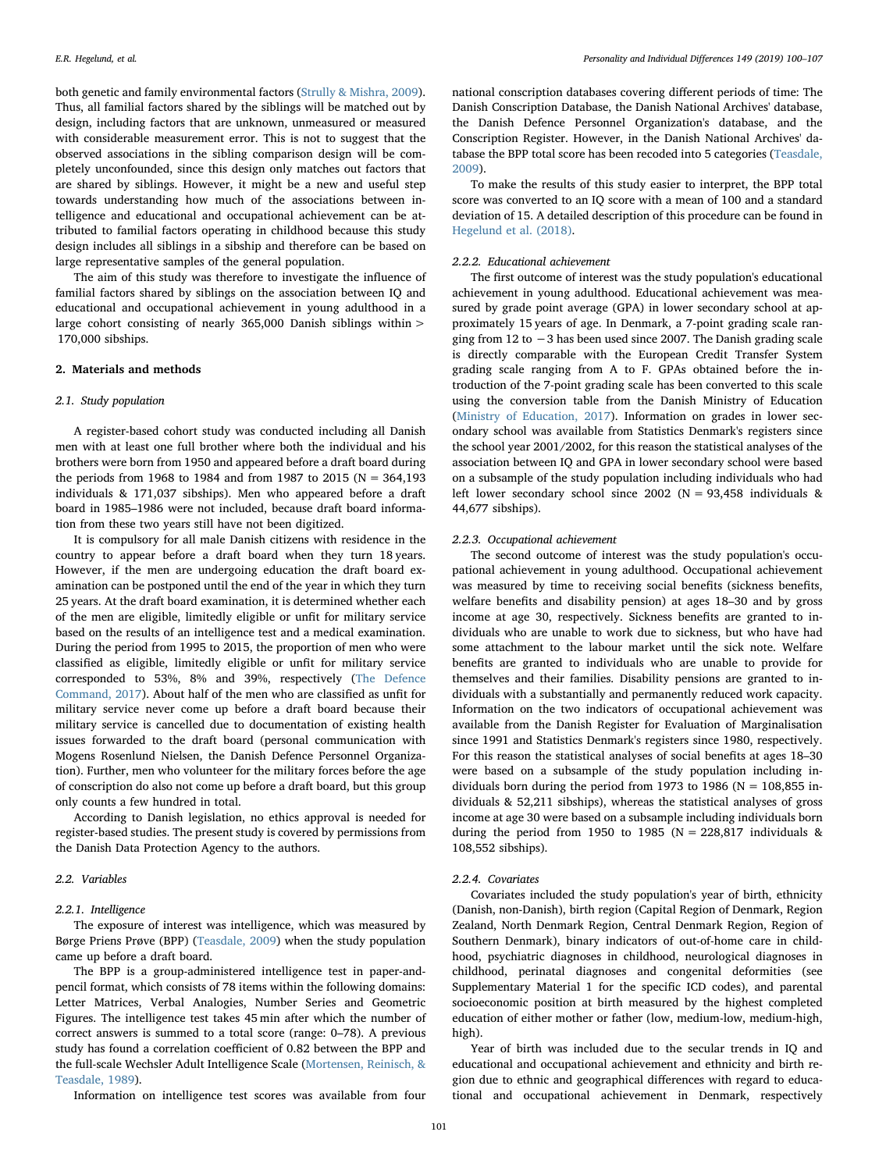both genetic and family environmental factors [\(Strully & Mishra, 2009](#page-7-10)). Thus, all familial factors shared by the siblings will be matched out by design, including factors that are unknown, unmeasured or measured with considerable measurement error. This is not to suggest that the observed associations in the sibling comparison design will be completely unconfounded, since this design only matches out factors that are shared by siblings. However, it might be a new and useful step towards understanding how much of the associations between intelligence and educational and occupational achievement can be attributed to familial factors operating in childhood because this study design includes all siblings in a sibship and therefore can be based on large representative samples of the general population.

The aim of this study was therefore to investigate the influence of familial factors shared by siblings on the association between IQ and educational and occupational achievement in young adulthood in a large cohort consisting of nearly 365,000 Danish siblings within > 170,000 sibships.

#### 2. Materials and methods

#### 2.1. Study population

A register-based cohort study was conducted including all Danish men with at least one full brother where both the individual and his brothers were born from 1950 and appeared before a draft board during the periods from 1968 to 1984 and from 1987 to 2015 (N = 364,193 individuals & 171,037 sibships). Men who appeared before a draft board in 1985–1986 were not included, because draft board information from these two years still have not been digitized.

It is compulsory for all male Danish citizens with residence in the country to appear before a draft board when they turn 18 years. However, if the men are undergoing education the draft board examination can be postponed until the end of the year in which they turn 25 years. At the draft board examination, it is determined whether each of the men are eligible, limitedly eligible or unfit for military service based on the results of an intelligence test and a medical examination. During the period from 1995 to 2015, the proportion of men who were classified as eligible, limitedly eligible or unfit for military service corresponded to 53%, 8% and 39%, respectively [\(The Defence](#page-7-11) [Command, 2017](#page-7-11)). About half of the men who are classified as unfit for military service never come up before a draft board because their military service is cancelled due to documentation of existing health issues forwarded to the draft board (personal communication with Mogens Rosenlund Nielsen, the Danish Defence Personnel Organization). Further, men who volunteer for the military forces before the age of conscription do also not come up before a draft board, but this group only counts a few hundred in total.

According to Danish legislation, no ethics approval is needed for register-based studies. The present study is covered by permissions from the Danish Data Protection Agency to the authors.

# 2.2. Variables

# 2.2.1. Intelligence

The exposure of interest was intelligence, which was measured by Børge Priens Prøve (BPP) ([Teasdale, 2009](#page-7-12)) when the study population came up before a draft board.

The BPP is a group-administered intelligence test in paper-andpencil format, which consists of 78 items within the following domains: Letter Matrices, Verbal Analogies, Number Series and Geometric Figures. The intelligence test takes 45 min after which the number of correct answers is summed to a total score (range: 0–78). A previous study has found a correlation coefficient of 0.82 between the BPP and the full-scale Wechsler Adult Intelligence Scale [\(Mortensen, Reinisch, &](#page-7-13) [Teasdale, 1989](#page-7-13)).

Information on intelligence test scores was available from four

national conscription databases covering different periods of time: The Danish Conscription Database, the Danish National Archives' database, the Danish Defence Personnel Organization's database, and the Conscription Register. However, in the Danish National Archives' database the BPP total score has been recoded into 5 categories ([Teasdale,](#page-7-12) [2009\)](#page-7-12).

To make the results of this study easier to interpret, the BPP total score was converted to an IQ score with a mean of 100 and a standard deviation of 15. A detailed description of this procedure can be found in [Hegelund et al. \(2018\).](#page-7-6)

# 2.2.2. Educational achievement

The first outcome of interest was the study population's educational achievement in young adulthood. Educational achievement was measured by grade point average (GPA) in lower secondary school at approximately 15 years of age. In Denmark, a 7-point grading scale ranging from 12 to −3 has been used since 2007. The Danish grading scale is directly comparable with the European Credit Transfer System grading scale ranging from A to F. GPAs obtained before the introduction of the 7-point grading scale has been converted to this scale using the conversion table from the Danish Ministry of Education ([Ministry of Education, 2017\)](#page-7-14). Information on grades in lower secondary school was available from Statistics Denmark's registers since the school year 2001/2002, for this reason the statistical analyses of the association between IQ and GPA in lower secondary school were based on a subsample of the study population including individuals who had left lower secondary school since 2002 (N = 93,458 individuals & 44,677 sibships).

#### 2.2.3. Occupational achievement

The second outcome of interest was the study population's occupational achievement in young adulthood. Occupational achievement was measured by time to receiving social benefits (sickness benefits, welfare benefits and disability pension) at ages 18–30 and by gross income at age 30, respectively. Sickness benefits are granted to individuals who are unable to work due to sickness, but who have had some attachment to the labour market until the sick note. Welfare benefits are granted to individuals who are unable to provide for themselves and their families. Disability pensions are granted to individuals with a substantially and permanently reduced work capacity. Information on the two indicators of occupational achievement was available from the Danish Register for Evaluation of Marginalisation since 1991 and Statistics Denmark's registers since 1980, respectively. For this reason the statistical analyses of social benefits at ages 18–30 were based on a subsample of the study population including individuals born during the period from 1973 to 1986 ( $N = 108,855$  individuals & 52,211 sibships), whereas the statistical analyses of gross income at age 30 were based on a subsample including individuals born during the period from 1950 to 1985 ( $N = 228,817$  individuals & 108,552 sibships).

# 2.2.4. Covariates

Covariates included the study population's year of birth, ethnicity (Danish, non-Danish), birth region (Capital Region of Denmark, Region Zealand, North Denmark Region, Central Denmark Region, Region of Southern Denmark), binary indicators of out-of-home care in childhood, psychiatric diagnoses in childhood, neurological diagnoses in childhood, perinatal diagnoses and congenital deformities (see Supplementary Material 1 for the specific ICD codes), and parental socioeconomic position at birth measured by the highest completed education of either mother or father (low, medium-low, medium-high, high).

Year of birth was included due to the secular trends in IQ and educational and occupational achievement and ethnicity and birth region due to ethnic and geographical differences with regard to educational and occupational achievement in Denmark, respectively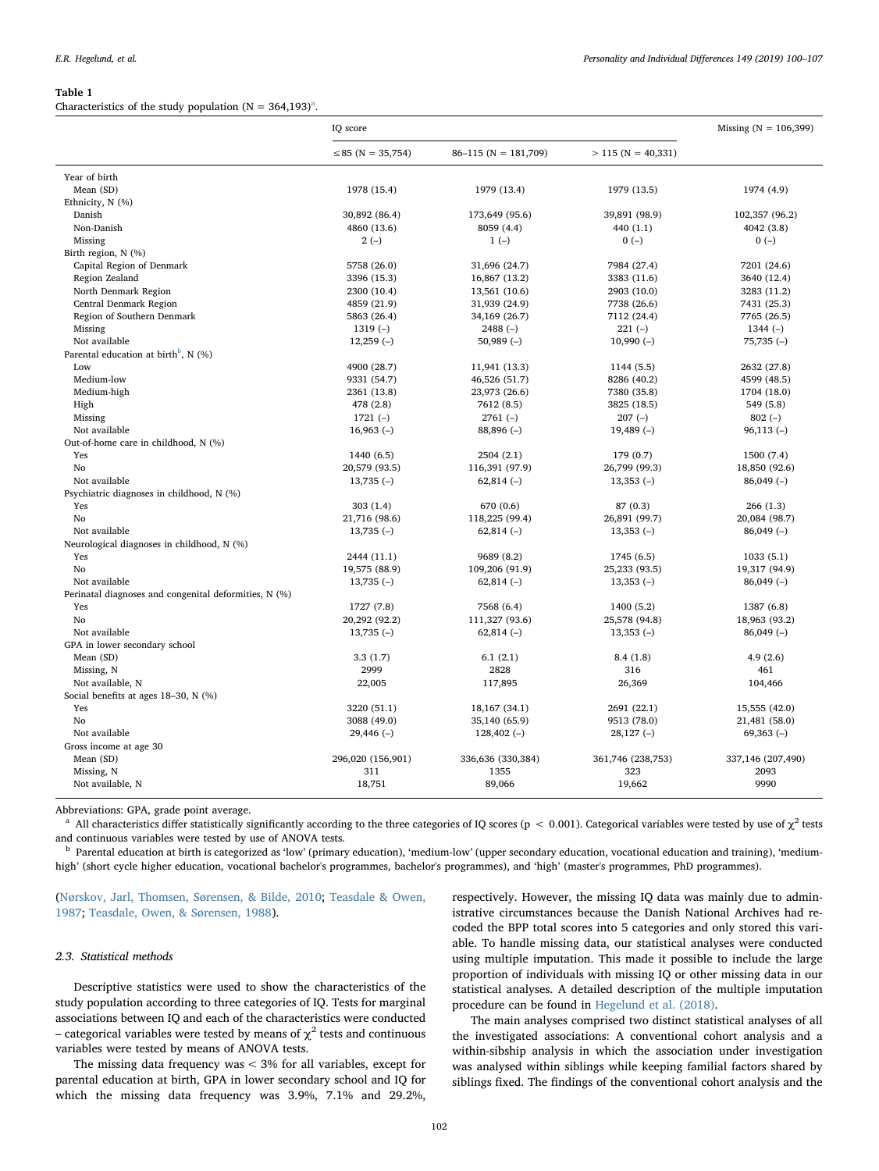#### <span id="page-2-2"></span>Table 1

Ch[a](#page-2-0)racteristics of the study population ( $N = 364,193$ <sup>a</sup>.

|                                                       | IQ score               |                        |                      | Missing ( $N = 106,399$ ) |
|-------------------------------------------------------|------------------------|------------------------|----------------------|---------------------------|
|                                                       | $\leq$ 85 (N = 35,754) | $86-115$ (N = 181,709) | $> 115$ (N = 40,331) |                           |
| Year of birth                                         |                        |                        |                      |                           |
| Mean (SD)                                             | 1978 (15.4)            | 1979 (13.4)            | 1979 (13.5)          | 1974 (4.9)                |
| Ethnicity, N (%)                                      |                        |                        |                      |                           |
| Danish                                                | 30,892 (86.4)          | 173,649 (95.6)         | 39,891 (98.9)        | 102,357 (96.2)            |
| Non-Danish                                            | 4860 (13.6)            | 8059 (4.4)             | 440 (1.1)            | 4042 (3.8)                |
| Missing                                               | $2(-)$                 | $1(-)$                 | $0(-)$               | $0(-)$                    |
| Birth region, N (%)                                   |                        |                        |                      |                           |
| Capital Region of Denmark                             | 5758 (26.0)            | 31,696 (24.7)          | 7984 (27.4)          | 7201 (24.6)               |
| Region Zealand                                        | 3396 (15.3)            | 16,867 (13.2)          | 3383 (11.6)          | 3640 (12.4)               |
| North Denmark Region                                  | 2300 (10.4)            | 13,561 (10.6)          | 2903 (10.0)          | 3283 (11.2)               |
| Central Denmark Region                                | 4859 (21.9)            | 31,939 (24.9)          | 7738 (26.6)          | 7431 (25.3)               |
| Region of Southern Denmark                            | 5863 (26.4)            | 34,169 (26.7)          | 7112 (24.4)          | 7765 (26.5)               |
| Missing                                               | $1319(-)$              | $2488(-)$              | $221(-)$             | $1344(-)$                 |
| Not available                                         | $12,259(-)$            | $50,989(-)$            | $10,990(-)$          | $75,735(-)$               |
| Parental education at birth <sup>b</sup> , N $(\%)$   |                        |                        |                      |                           |
| Low                                                   | 4900 (28.7)            | 11,941 (13.3)          | 1144 (5.5)           | 2632 (27.8)               |
| Medium-low                                            | 9331 (54.7)            | 46,526 (51.7)          | 8286 (40.2)          | 4599 (48.5)               |
| Medium-high                                           | 2361 (13.8)            | 23,973 (26.6)          | 7380 (35.8)          | 1704 (18.0)               |
| High                                                  | 478 (2.8)              | 7612 (8.5)             | 3825 (18.5)          | 549 (5.8)                 |
| Missing                                               | $1721(-)$              | $2761(-)$              | $207(-)$             | $802(-)$                  |
| Not available                                         | $16,963(-)$            | $88,896(-)$            | $19,489$ (-)         | $96,113(-)$               |
| Out-of-home care in childhood, N (%)                  |                        |                        |                      |                           |
| Yes                                                   | 1440 (6.5)             | 2504 (2.1)             | 179(0.7)             | 1500 (7.4)                |
| No                                                    | 20,579 (93.5)          | 116,391 (97.9)         | 26,799 (99.3)        | 18,850 (92.6)             |
| Not available                                         | $13,735(-)$            | $62,814(-)$            | $13,353(-)$          | $86,049(-)$               |
| Psychiatric diagnoses in childhood, N (%)             |                        |                        |                      |                           |
| Yes                                                   | 303(1.4)               | 670 (0.6)              | 87 (0.3)             | 266(1.3)                  |
| No                                                    | 21,716 (98.6)          | 118,225 (99.4)         | 26,891 (99.7)        | 20,084 (98.7)             |
| Not available                                         | $13,735(-)$            | $62,814(-)$            | $13,353(-)$          | $86,049(-)$               |
| Neurological diagnoses in childhood, N (%)            |                        |                        |                      |                           |
| Yes                                                   | 2444 (11.1)            | 9689 (8.2)             | 1745 (6.5)           | 1033(5.1)                 |
| No                                                    | 19,575 (88.9)          | 109,206 (91.9)         | 25,233 (93.5)        | 19,317 (94.9)             |
| Not available                                         | $13,735(-)$            | $62,814(-)$            | $13,353(-)$          | $86,049(-)$               |
| Perinatal diagnoses and congenital deformities, N (%) |                        |                        |                      |                           |
| Yes                                                   | 1727 (7.8)             | 7568 (6.4)             | 1400 (5.2)           | 1387 (6.8)                |
| No                                                    | 20,292 (92.2)          | 111,327 (93.6)         | 25,578 (94.8)        | 18,963 (93.2)             |
| Not available                                         | $13,735(-)$            | $62,814(-)$            | $13,353(-)$          | $86,049(-)$               |
| GPA in lower secondary school                         |                        |                        |                      |                           |
| Mean (SD)                                             | 3.3(1.7)               | 6.1(2.1)               | 8.4(1.8)             | 4.9(2.6)                  |
| Missing, N                                            | 2999                   | 2828                   | 316                  | 461                       |
| Not available, N                                      | 22,005                 | 117,895                | 26,369               | 104,466                   |
| Social benefits at ages 18-30, N (%)                  |                        |                        |                      |                           |
| Yes                                                   | 3220 (51.1)            | 18,167 (34.1)          | 2691 (22.1)          | 15,555 (42.0)             |
| No                                                    | 3088 (49.0)            | 35,140 (65.9)          | 9513 (78.0)          | 21,481 (58.0)             |
| Not available                                         | $29,446(-)$            | $128,402(-)$           | $28,127(-)$          | $69,363(-)$               |
| Gross income at age 30                                |                        |                        |                      |                           |
| Mean (SD)                                             | 296,020 (156,901)      | 336,636 (330,384)      | 361,746 (238,753)    | 337,146 (207,490)         |
| Missing, N                                            | 311                    | 1355                   | 323                  | 2093                      |
| Not available, N                                      | 18,751                 | 89,066                 | 19,662               | 9990                      |
|                                                       |                        |                        |                      |                           |

Abbreviations: GPA, grade point average.

<span id="page-2-0"></span><sup>a</sup> All characteristics differ statistically significantly according to the three categories of IQ scores (p < 0.001). Categorical variables were tested by use of  $\chi^2$  tests and continuous variables were tested by use of ANOVA tests.

<span id="page-2-1"></span><sup>b</sup> Parental education at birth is categorized as 'low' (primary education), 'medium-low' (upper secondary education, vocational education and training), 'mediumhigh' (short cycle higher education, vocational bachelor's programmes, bachelor's programmes), and 'high' (master's programmes, PhD programmes).

# ([Nørskov, Jarl, Thomsen, Sørensen, & Bilde, 2010](#page-7-15); [Teasdale & Owen,](#page-7-16) [1987;](#page-7-16) [Teasdale, Owen, & Sørensen, 1988](#page-7-17)).

# 2.3. Statistical methods

Descriptive statistics were used to show the characteristics of the study population according to three categories of IQ. Tests for marginal associations between IQ and each of the characteristics were conducted – categorical variables were tested by means of  $\chi^2$  tests and continuous variables were tested by means of ANOVA tests.

The missing data frequency was < 3% for all variables, except for parental education at birth, GPA in lower secondary school and IQ for which the missing data frequency was 3.9%, 7.1% and 29.2%,

respectively. However, the missing IQ data was mainly due to administrative circumstances because the Danish National Archives had recoded the BPP total scores into 5 categories and only stored this variable. To handle missing data, our statistical analyses were conducted using multiple imputation. This made it possible to include the large proportion of individuals with missing IQ or other missing data in our statistical analyses. A detailed description of the multiple imputation procedure can be found in [Hegelund et al. \(2018\)](#page-7-6).

The main analyses comprised two distinct statistical analyses of all the investigated associations: A conventional cohort analysis and a within-sibship analysis in which the association under investigation was analysed within siblings while keeping familial factors shared by siblings fixed. The findings of the conventional cohort analysis and the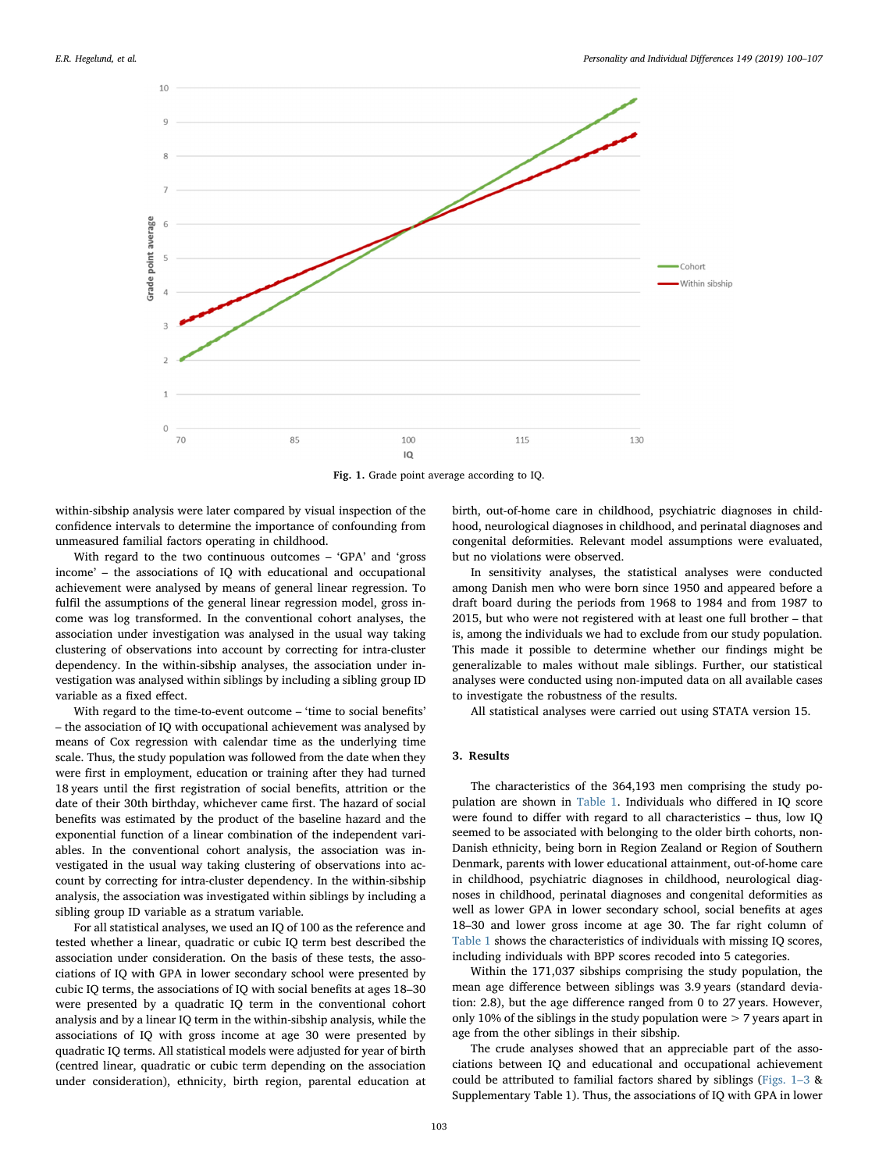<span id="page-3-0"></span>

Fig. 1. Grade point average according to IQ.

within-sibship analysis were later compared by visual inspection of the confidence intervals to determine the importance of confounding from unmeasured familial factors operating in childhood.

With regard to the two continuous outcomes – 'GPA' and 'gross income' – the associations of IQ with educational and occupational achievement were analysed by means of general linear regression. To fulfil the assumptions of the general linear regression model, gross income was log transformed. In the conventional cohort analyses, the association under investigation was analysed in the usual way taking clustering of observations into account by correcting for intra-cluster dependency. In the within-sibship analyses, the association under investigation was analysed within siblings by including a sibling group ID variable as a fixed effect.

With regard to the time-to-event outcome – 'time to social benefits' – the association of IQ with occupational achievement was analysed by means of Cox regression with calendar time as the underlying time scale. Thus, the study population was followed from the date when they were first in employment, education or training after they had turned 18 years until the first registration of social benefits, attrition or the date of their 30th birthday, whichever came first. The hazard of social benefits was estimated by the product of the baseline hazard and the exponential function of a linear combination of the independent variables. In the conventional cohort analysis, the association was investigated in the usual way taking clustering of observations into account by correcting for intra-cluster dependency. In the within-sibship analysis, the association was investigated within siblings by including a sibling group ID variable as a stratum variable.

For all statistical analyses, we used an IQ of 100 as the reference and tested whether a linear, quadratic or cubic IQ term best described the association under consideration. On the basis of these tests, the associations of IQ with GPA in lower secondary school were presented by cubic IQ terms, the associations of IQ with social benefits at ages 18–30 were presented by a quadratic IQ term in the conventional cohort analysis and by a linear IQ term in the within-sibship analysis, while the associations of IQ with gross income at age 30 were presented by quadratic IQ terms. All statistical models were adjusted for year of birth (centred linear, quadratic or cubic term depending on the association under consideration), ethnicity, birth region, parental education at

birth, out-of-home care in childhood, psychiatric diagnoses in childhood, neurological diagnoses in childhood, and perinatal diagnoses and congenital deformities. Relevant model assumptions were evaluated, but no violations were observed.

In sensitivity analyses, the statistical analyses were conducted among Danish men who were born since 1950 and appeared before a draft board during the periods from 1968 to 1984 and from 1987 to 2015, but who were not registered with at least one full brother – that is, among the individuals we had to exclude from our study population. This made it possible to determine whether our findings might be generalizable to males without male siblings. Further, our statistical analyses were conducted using non-imputed data on all available cases to investigate the robustness of the results.

All statistical analyses were carried out using STATA version 15.

# 3. Results

The characteristics of the 364,193 men comprising the study population are shown in [Table 1.](#page-2-2) Individuals who differed in IQ score were found to differ with regard to all characteristics – thus, low IQ seemed to be associated with belonging to the older birth cohorts, non-Danish ethnicity, being born in Region Zealand or Region of Southern Denmark, parents with lower educational attainment, out-of-home care in childhood, psychiatric diagnoses in childhood, neurological diagnoses in childhood, perinatal diagnoses and congenital deformities as well as lower GPA in lower secondary school, social benefits at ages 18–30 and lower gross income at age 30. The far right column of [Table 1](#page-2-2) shows the characteristics of individuals with missing IQ scores, including individuals with BPP scores recoded into 5 categories.

Within the 171,037 sibships comprising the study population, the mean age difference between siblings was 3.9 years (standard deviation: 2.8), but the age difference ranged from 0 to 27 years. However, only 10% of the siblings in the study population were  $>$  7 years apart in age from the other siblings in their sibship.

The crude analyses showed that an appreciable part of the associations between IQ and educational and occupational achievement could be attributed to familial factors shared by siblings ([Figs. 1](#page-3-0)–3 & Supplementary Table 1). Thus, the associations of IQ with GPA in lower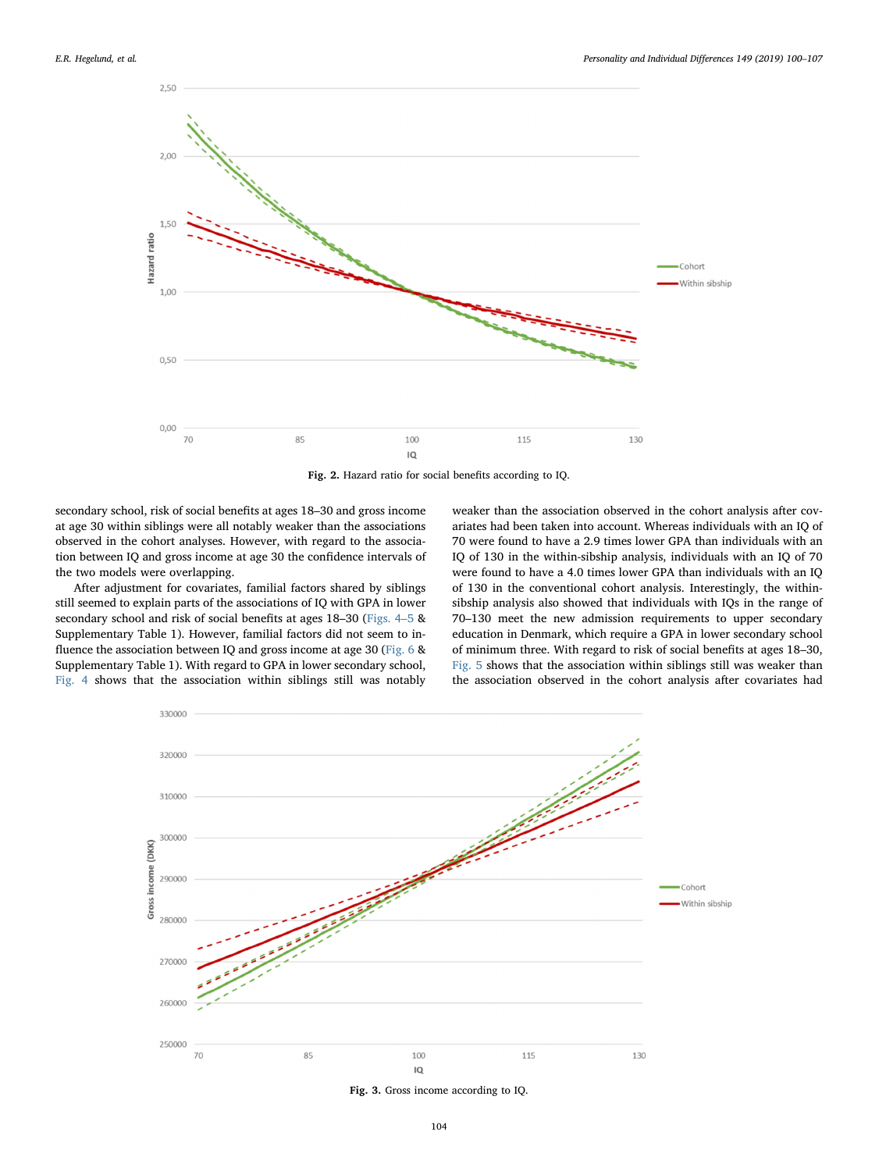

Fig. 2. Hazard ratio for social benefits according to IQ.

secondary school, risk of social benefits at ages 18–30 and gross income at age 30 within siblings were all notably weaker than the associations observed in the cohort analyses. However, with regard to the association between IQ and gross income at age 30 the confidence intervals of the two models were overlapping.

After adjustment for covariates, familial factors shared by siblings still seemed to explain parts of the associations of IQ with GPA in lower secondary school and risk of social benefits at ages 18–30 ([Figs. 4](#page-5-0)–5 & Supplementary Table 1). However, familial factors did not seem to influence the association between IQ and gross income at age 30 [\(Fig. 6](#page-6-0) & Supplementary Table 1). With regard to GPA in lower secondary school, [Fig. 4](#page-5-0) shows that the association within siblings still was notably

weaker than the association observed in the cohort analysis after covariates had been taken into account. Whereas individuals with an IQ of 70 were found to have a 2.9 times lower GPA than individuals with an IQ of 130 in the within-sibship analysis, individuals with an IQ of 70 were found to have a 4.0 times lower GPA than individuals with an IQ of 130 in the conventional cohort analysis. Interestingly, the withinsibship analysis also showed that individuals with IQs in the range of 70–130 meet the new admission requirements to upper secondary education in Denmark, which require a GPA in lower secondary school of minimum three. With regard to risk of social benefits at ages 18–30, [Fig. 5](#page-5-1) shows that the association within siblings still was weaker than the association observed in the cohort analysis after covariates had



Fig. 3. Gross income according to IQ.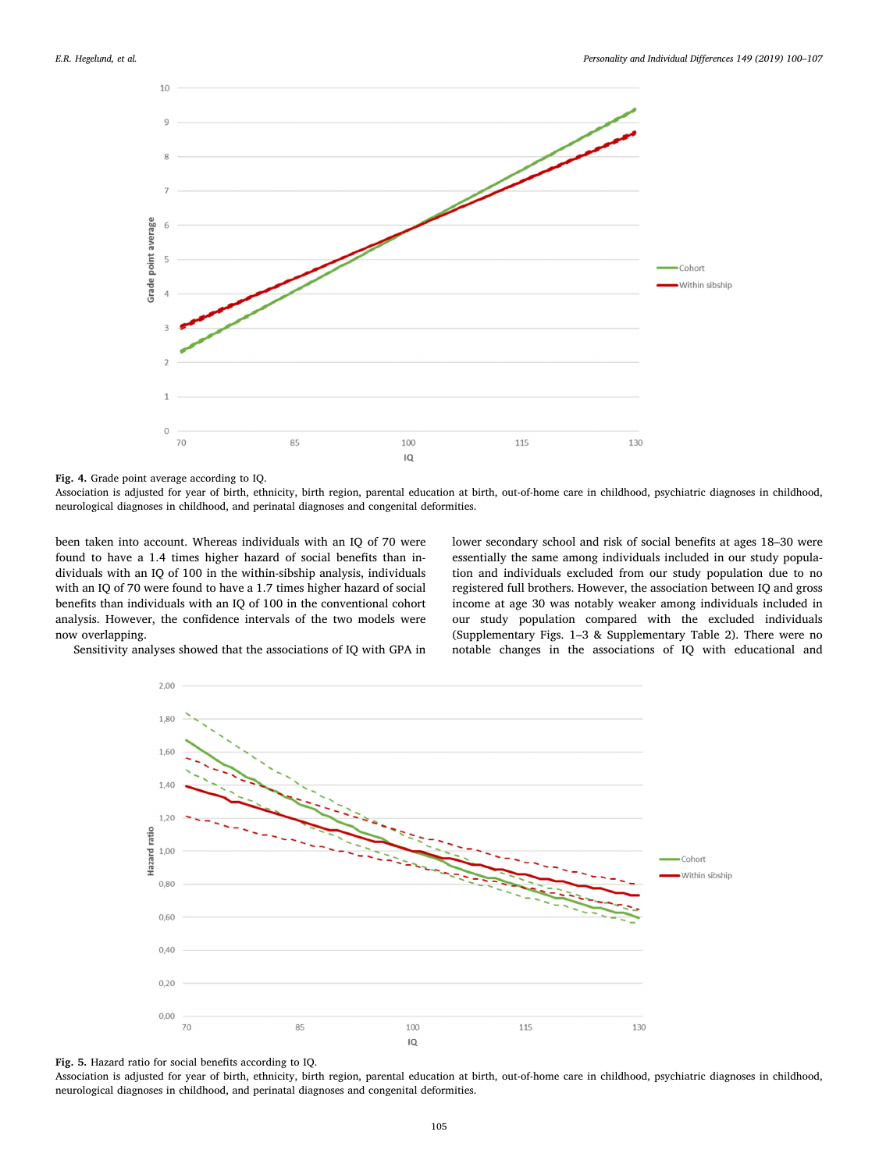<span id="page-5-0"></span>

Fig. 4. Grade point average according to IQ.

Association is adjusted for year of birth, ethnicity, birth region, parental education at birth, out-of-home care in childhood, psychiatric diagnoses in childhood, neurological diagnoses in childhood, and perinatal diagnoses and congenital deformities.

been taken into account. Whereas individuals with an IQ of 70 were found to have a 1.4 times higher hazard of social benefits than individuals with an IQ of 100 in the within-sibship analysis, individuals with an IQ of 70 were found to have a 1.7 times higher hazard of social benefits than individuals with an IQ of 100 in the conventional cohort analysis. However, the confidence intervals of the two models were now overlapping.

lower secondary school and risk of social benefits at ages 18–30 were essentially the same among individuals included in our study population and individuals excluded from our study population due to no registered full brothers. However, the association between IQ and gross income at age 30 was notably weaker among individuals included in our study population compared with the excluded individuals (Supplementary Figs. 1–3 & Supplementary Table 2). There were no notable changes in the associations of IQ with educational and

<span id="page-5-1"></span>Sensitivity analyses showed that the associations of IQ with GPA in





Association is adjusted for year of birth, ethnicity, birth region, parental education at birth, out-of-home care in childhood, psychiatric diagnoses in childhood, neurological diagnoses in childhood, and perinatal diagnoses and congenital deformities.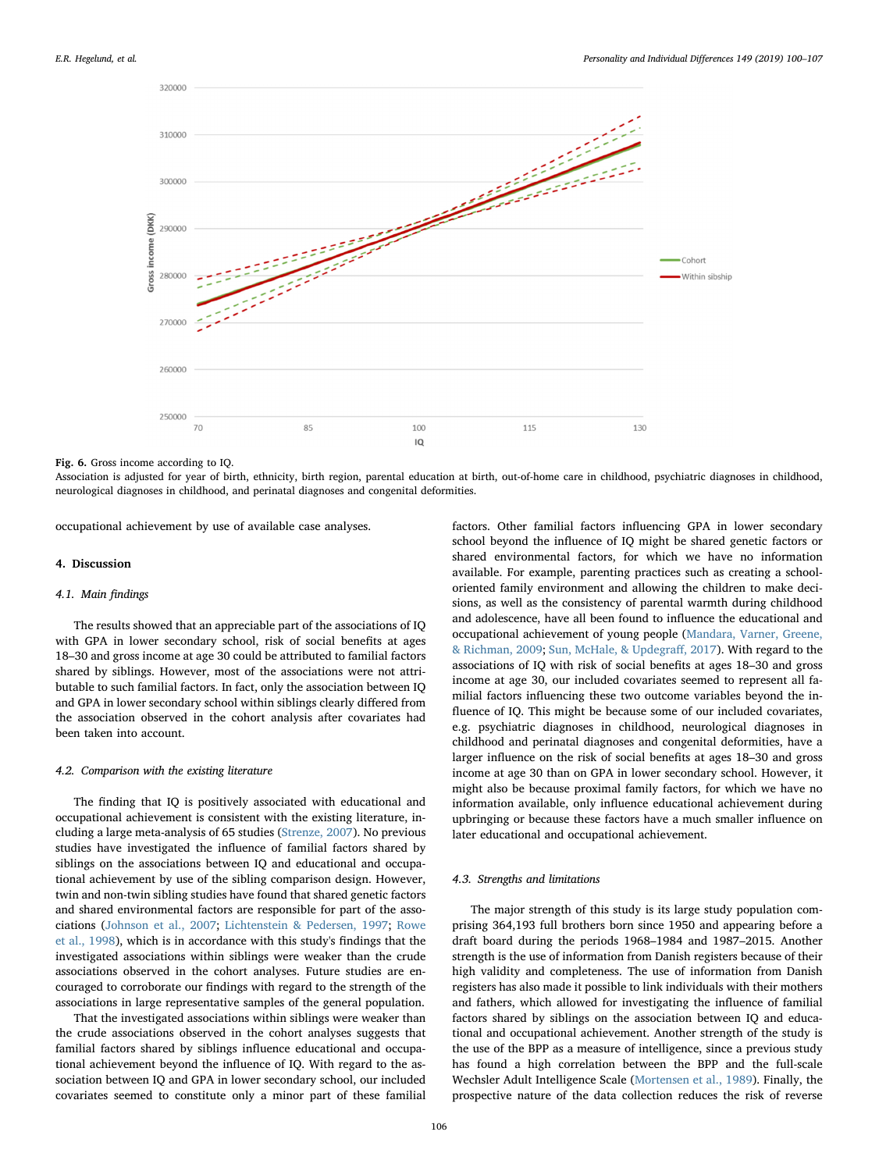<span id="page-6-0"></span>

Fig. 6. Gross income according to IQ.

Association is adjusted for year of birth, ethnicity, birth region, parental education at birth, out-of-home care in childhood, psychiatric diagnoses in childhood, neurological diagnoses in childhood, and perinatal diagnoses and congenital deformities.

occupational achievement by use of available case analyses.

#### 4. Discussion

#### 4.1. Main findings

The results showed that an appreciable part of the associations of IQ with GPA in lower secondary school, risk of social benefits at ages 18–30 and gross income at age 30 could be attributed to familial factors shared by siblings. However, most of the associations were not attributable to such familial factors. In fact, only the association between IQ and GPA in lower secondary school within siblings clearly differed from the association observed in the cohort analysis after covariates had been taken into account.

# 4.2. Comparison with the existing literature

The finding that IQ is positively associated with educational and occupational achievement is consistent with the existing literature, including a large meta-analysis of 65 studies ([Strenze, 2007](#page-7-2)). No previous studies have investigated the influence of familial factors shared by siblings on the associations between IQ and educational and occupational achievement by use of the sibling comparison design. However, twin and non-twin sibling studies have found that shared genetic factors and shared environmental factors are responsible for part of the associations [\(Johnson et al., 2007;](#page-7-7) [Lichtenstein & Pedersen, 1997](#page-7-8); [Rowe](#page-7-9) [et al., 1998](#page-7-9)), which is in accordance with this study's findings that the investigated associations within siblings were weaker than the crude associations observed in the cohort analyses. Future studies are encouraged to corroborate our findings with regard to the strength of the associations in large representative samples of the general population.

That the investigated associations within siblings were weaker than the crude associations observed in the cohort analyses suggests that familial factors shared by siblings influence educational and occupational achievement beyond the influence of IQ. With regard to the association between IQ and GPA in lower secondary school, our included covariates seemed to constitute only a minor part of these familial

factors. Other familial factors influencing GPA in lower secondary school beyond the influence of IQ might be shared genetic factors or shared environmental factors, for which we have no information available. For example, parenting practices such as creating a schooloriented family environment and allowing the children to make decisions, as well as the consistency of parental warmth during childhood and adolescence, have all been found to influence the educational and occupational achievement of young people [\(Mandara, Varner, Greene,](#page-7-18) [& Richman, 2009;](#page-7-18) [Sun, McHale, & Updegra](#page-7-19)ff, 2017). With regard to the associations of IQ with risk of social benefits at ages 18–30 and gross income at age 30, our included covariates seemed to represent all familial factors influencing these two outcome variables beyond the influence of IQ. This might be because some of our included covariates, e.g. psychiatric diagnoses in childhood, neurological diagnoses in childhood and perinatal diagnoses and congenital deformities, have a larger influence on the risk of social benefits at ages 18–30 and gross income at age 30 than on GPA in lower secondary school. However, it might also be because proximal family factors, for which we have no information available, only influence educational achievement during upbringing or because these factors have a much smaller influence on later educational and occupational achievement.

### 4.3. Strengths and limitations

The major strength of this study is its large study population comprising 364,193 full brothers born since 1950 and appearing before a draft board during the periods 1968–1984 and 1987–2015. Another strength is the use of information from Danish registers because of their high validity and completeness. The use of information from Danish registers has also made it possible to link individuals with their mothers and fathers, which allowed for investigating the influence of familial factors shared by siblings on the association between IQ and educational and occupational achievement. Another strength of the study is the use of the BPP as a measure of intelligence, since a previous study has found a high correlation between the BPP and the full-scale Wechsler Adult Intelligence Scale [\(Mortensen et al., 1989\)](#page-7-13). Finally, the prospective nature of the data collection reduces the risk of reverse